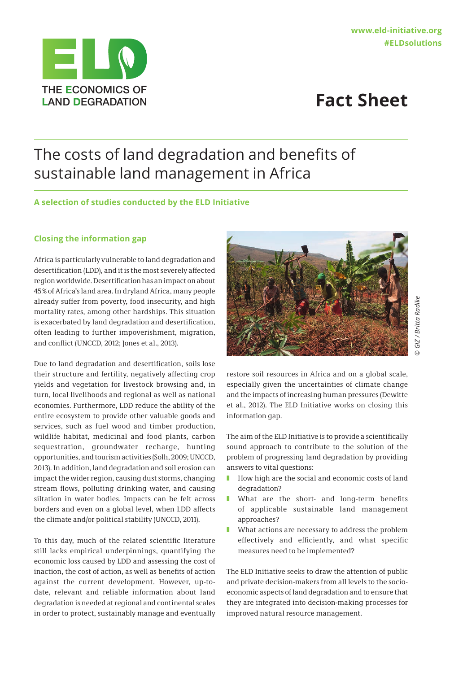

# The costs of land degradation and benefits of sustainable land management in Africa

### **A selection of studies conducted by the ELD Initiative**

#### **Closing the information gap**

Africa is particularly vulnerable to land degradation and desertification (LDD), and it is the most severely affected region worldwide. Desertification has an impact on about 45% of Africa's land area. In dryland Africa, many people already suffer from poverty, food insecurity, and high mortality rates, among other hardships. This situation is exacerbated by land degradation and desertification, often leading to further impoverishment, migration, and conflict (UNCCD, 2012; Jones et al., 2013).

Due to land degradation and desertification, soils lose their structure and fertility, negatively affecting crop yields and vegetation for livestock browsing and, in turn, local livelihoods and regional as well as national economies. Furthermore, LDD reduce the ability of the entire ecosystem to provide other valuable goods and services, such as fuel wood and timber production, wildlife habitat, medicinal and food plants, carbon sequestration, groundwater recharge, hunting opportunities, and tourism activities (Solh, 2009; UNCCD, 2013). In addition, land degradation and soil erosion can impact the wider region, causing dust storms, changing stream flows, polluting drinking water, and causing siltation in water bodies. Impacts can be felt across borders and even on a global level, when LDD affects the climate and/or political stability (UNCCD, 2011).

To this day, much of the related scientific literature still lacks empirical underpinnings, quantifying the economic loss caused by LDD and assessing the cost of inaction, the cost of action, as well as benefits of action against the current development. However, up-todate, relevant and reliable information about land degradation is needed at regional and continental scales in order to protect, sustainably manage and eventually



*© GIZ / Britta Radike* GIZ / Britta Radike

restore soil resources in Africa and on a global scale, especially given the uncertainties of climate change and the impacts of increasing human pressures (Dewitte et al., 2012). The ELD Initiative works on closing this information gap.

The aim of the ELD Initiative is to provide a scientifically sound approach to contribute to the solution of the problem of progressing land degradation by providing answers to vital questions:

- How high are the social and economic costs of land degradation?
- What are the short- and long-term benefits of applicable sustainable land management approaches?
- What actions are necessary to address the problem effectively and efficiently, and what specific measures need to be implemented?

The ELD Initiative seeks to draw the attention of public and private decision-makers from all levels to the socioeconomic aspects of land degradation and to ensure that they are integrated into decision-making processes for improved natural resource management.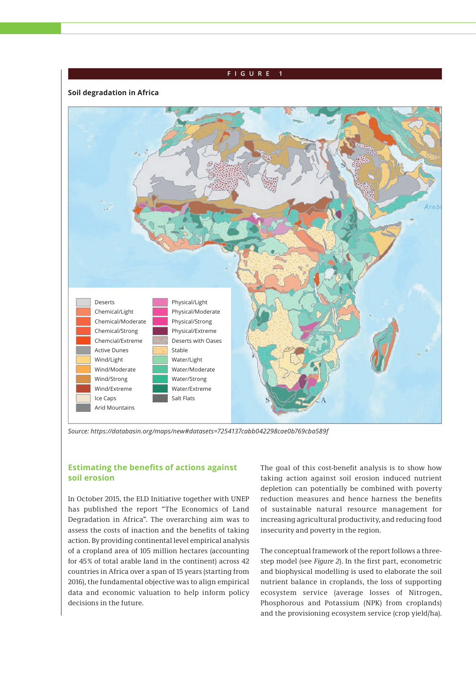## Physical/Light Physical/Moderate Physical/Strong Physical/Extreme Deserts with Oases Stable Water/Light Water/Moderate Water/Strong Water/Extreme Salt Flats Chemical/Strong Chemcial/Extreme Active Dunes Wind/Light Wind/Moderate Wind/Strong Wind/Extreme Ice Caps Arid Mountains Deserts Chemical/Light Chemical/Moderate **FIGURE Soil degradation in Africa**

*Source: https://databasin.org/maps/new#datasets=7254137cabb042298cae0b769cba589f*

### **Estimating the benefits of actions against soil erosion**

In October 2015, the ELD Initiative together with UNEP has published the report "The Economics of Land Degradation in Africa". The overarching aim was to assess the costs of inaction and the benefits of taking action. By providing continental level empirical analysis of a cropland area of 105 million hectares (accounting for 45% of total arable land in the continent) across 42 countries in Africa over a span of 15 years (starting from 2016), the fundamental objective was to align empirical data and economic valuation to help inform policy decisions in the future.

The goal of this cost-benefit analysis is to show how taking action against soil erosion induced nutrient depletion can potentially be combined with poverty reduction measures and hence harness the benefits of sustainable natural resource management for increasing agricultural productivity, and reducing food insecurity and poverty in the region.

The conceptual framework of the report follows a threestep model (see *Figure 2*). In the first part, econometric and biophysical modelling is used to elaborate the soil nutrient balance in croplands, the loss of supporting ecosystem service (average losses of Nitrogen, Phosphorous and Potassium (NPK) from croplands) and the provisioning ecosystem service (crop yield/ha).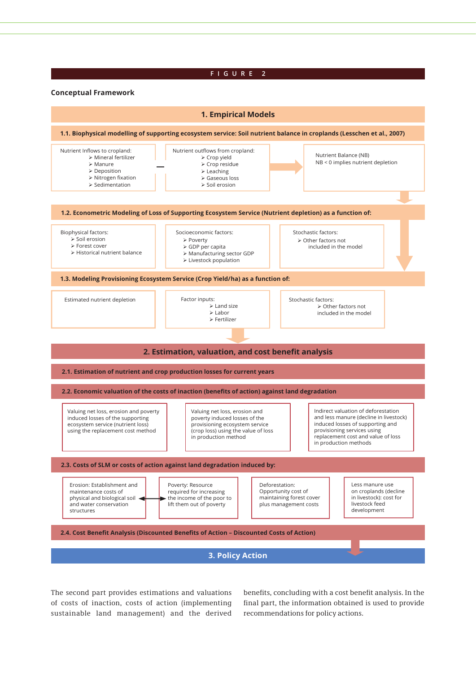#### **Figure 2**

#### **Conceptual Framework**



The second part provides estimations and valuations of costs of inaction, costs of action (implementing sustainable land management) and the derived

benefits, concluding with a cost benefit analysis. In the final part, the information obtained is used to provide recommendations for policy actions.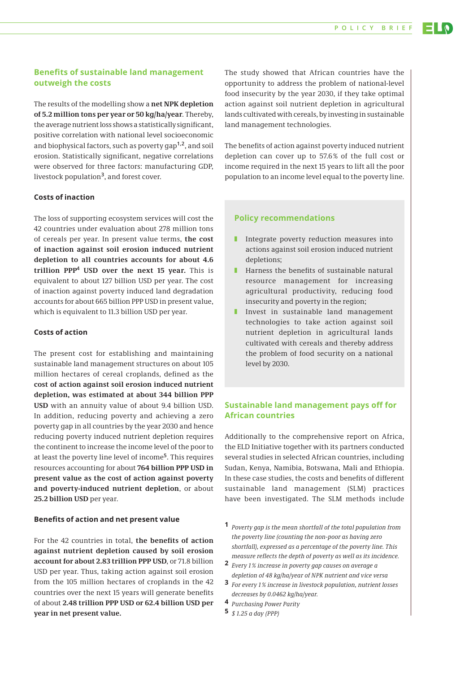### **Benefits of sustainable land management outweigh the costs**

The results of the modelling show a **net NPK depletion of 5.2 million tons per year or 50 kg/ha/year**. Thereby, the average nutrient loss shows a statistically significant, positive correlation with national level socioeconomic and biophysical factors, such as poverty gap**1,2**, and soil erosion. Statistically significant, negative correlations were observed for three factors: manufacturing GDP, livestock population**<sup>3</sup>**, and forest cover.

#### **Costs of inaction**

The loss of supporting ecosystem services will cost the 42 countries under evaluation about 278 million tons of cereals per year. In present value terms, **the cost of inaction against soil erosion induced nutrient depletion to all countries accounts for about 4.6 trillion PPP<sup>4</sup> USD over the next 15 year.** This is equivalent to about 127 billion USD per year. The cost of inaction against poverty induced land degradation accounts for about 665 billion PPP USD in present value, which is equivalent to 11.3 billion USD per year.

#### **Costs of action**

The present cost for establishing and maintaining sustainable land management structures on about 105 million hectares of cereal croplands, defined as the **cost of action against soil erosion induced nutrient depletion, was estimated at about 344 billion PPP USD** with an annuity value of about 9.4 billion USD. In addition, reducing poverty and achieving a zero poverty gap in all countries by the year 2030 and hence reducing poverty induced nutrient depletion requires the continent to increase the income level of the poor to at least the poverty line level of income**<sup>5</sup>**. This requires resources accounting for about **764 billion PPP USD in present value as the cost of action against poverty and poverty-induced nutrient depletion**, or about **25.2 billion USD** per year.

#### **Benefits of action and net present value**

For the 42 countries in total, **the benefits of action against nutrient depletion caused by soil erosion account for about 2.83 trillion PPP USD**, or 71.8 billion USD per year. Thus, taking action against soil erosion from the 105 million hectares of croplands in the 42 countries over the next 15 years will generate benefits of about **2.48 trillion PPP USD or 62.4 billion USD per year in net present value.**

The study showed that African countries have the opportunity to address the problem of national-level food insecurity by the year 2030, if they take optimal action against soil nutrient depletion in agricultural lands cultivated with cereals, by investing in sustainable land management technologies.

The benefits of action against poverty induced nutrient depletion can cover up to 57.6 % of the full cost or income required in the next 15 years to lift all the poor population to an income level equal to the poverty line.

#### **Policy recommendations**

- Integrate poverty reduction measures into actions against soil erosion induced nutrient depletions;
- Harness the benefits of sustainable natural resource management for increasing agricultural productivity, reducing food insecurity and poverty in the region;
- **I** Invest in sustainable land management technologies to take action against soil nutrient depletion in agricultural lands cultivated with cereals and thereby address the problem of food security on a national level by 2030.

### **Sustainable land management pays off for African countries**

Additionally to the comprehensive report on Africa, the ELD Initiative together with its partners conducted several studies in selected African countries, including Sudan, Kenya, Namibia, Botswana, Mali and Ethiopia. In these case studies, the costs and benefits of different sustainable land management (SLM) practices have been investigated. The SLM methods include

- **1** *Poverty gap is the mean shortfall of the total population from the poverty line (counting the non-poor as having zero shortfall), expressed as a percentage of the poverty line. This measure reflects the depth of poverty as well as its incidence.*
- **2** *Every 1% increase in poverty gap causes on average a depletion of 48 kg/ha/year of NPK nutrient and vice versa*
- **3** *For every 1% increase in livestock population, nutrient losses decreases by 0.0462 kg/ha/year.*
- **4** *Purchasing Power Parity*
- **5** *\$ 1.25 a day (PPP)*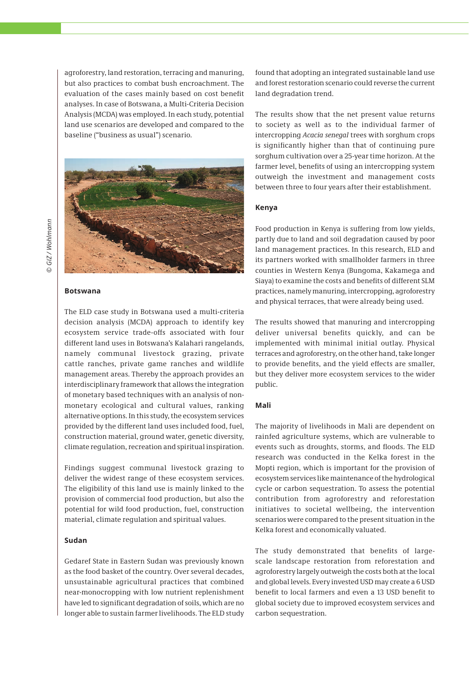agroforestry, land restoration, terracing and manuring, but also practices to combat bush encroachment. The evaluation of the cases mainly based on cost benefit analyses. In case of Botswana, a Multi-Criteria Decision Analysis (MCDA) was employed. In each study, potential land use scenarios are developed and compared to the baseline ("business as usual") scenario.



# © GIZ / Wohlmann *© GIZ / Wohlmann*

#### **Botswana**

The ELD case study in Botswana used a multi-criteria decision analysis (MCDA) approach to identify key ecosystem service trade-offs associated with four different land uses in Botswana's Kalahari rangelands, namely communal livestock grazing, private cattle ranches, private game ranches and wildlife management areas. Thereby the approach provides an interdisciplinary framework that allows the integration of monetary based techniques with an analysis of nonmonetary ecological and cultural values, ranking alternative options. In this study, the ecosystem services provided by the different land uses included food, fuel, construction material, ground water, genetic diversity, climate regulation, recreation and spiritual inspiration.

Findings suggest communal livestock grazing to deliver the widest range of these ecosystem services. The eligibility of this land use is mainly linked to the provision of commercial food production, but also the potential for wild food production, fuel, construction material, climate regulation and spiritual values.

#### **Sudan**

Gedaref State in Eastern Sudan was previously known as the food basket of the country. Over several decades, unsustainable agricultural practices that combined near-monocropping with low nutrient replenishment have led to significant degradation of soils, which are no longer able to sustain farmer livelihoods. The ELD study found that adopting an integrated sustainable land use and forest restoration scenario could reverse the current land degradation trend.

The results show that the net present value returns to society as well as to the individual farmer of intercropping *Acacia senegal* trees with sorghum crops is significantly higher than that of continuing pure sorghum cultivation over a 25-year time horizon. At the farmer level, benefits of using an intercropping system outweigh the investment and management costs between three to four years after their establishment.

#### **Kenya**

Food production in Kenya is suffering from low yields, partly due to land and soil degradation caused by poor land management practices. In this research, ELD and its partners worked with smallholder farmers in three counties in Western Kenya (Bungoma, Kakamega and Siaya) to examine the costs and benefits of different SLM practices, namely manuring, intercropping, agroforestry and physical terraces, that were already being used.

The results showed that manuring and intercropping deliver universal benefits quickly, and can be implemented with minimal initial outlay. Physical terraces and agroforestry, on the other hand, take longer to provide benefits, and the yield effects are smaller, but they deliver more ecosystem services to the wider public.

#### **Mali**

The majority of livelihoods in Mali are dependent on rainfed agriculture systems, which are vulnerable to events such as droughts, storms, and floods. The ELD research was conducted in the Kelka forest in the Mopti region, which is important for the provision of ecosystem services like maintenance of the hydrological cycle or carbon sequestration. To assess the potential contribution from agroforestry and reforestation initiatives to societal wellbeing, the intervention scenarios were compared to the present situation in the Kelka forest and economically valuated.

The study demonstrated that benefits of largescale landscape restoration from reforestation and agroforestry largely outweigh the costs both at the local and global levels. Every invested USD may create a 6 USD benefit to local farmers and even a 13 USD benefit to global society due to improved ecosystem services and carbon sequestration.